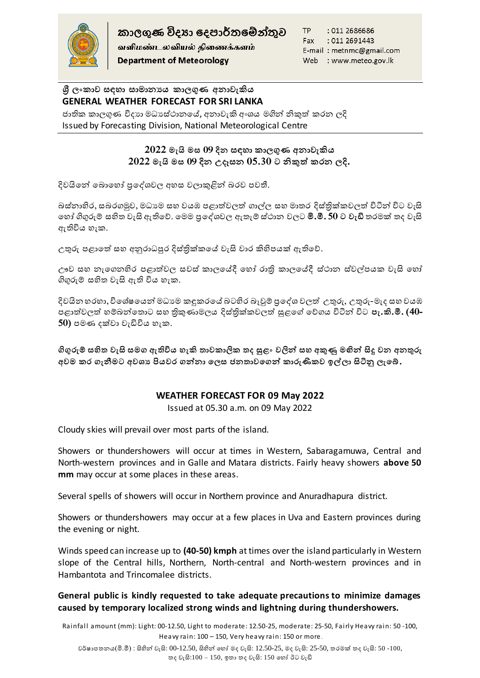

வளிமண்டலவியல் திணைக்களம் **Department of Meteorology** 

TP : 011 2686686 : 011 2691443 Fax E-mail: metnmc@gmail.com Web : www.meteo.gov.lk

## **ශ්රී ලංකාව සඳහා සාමානයය කාලගුණ අනාවැකිය GENERAL WEATHER FORECAST FOR SRI LANKA**

ජාතික කාලගුණ විදාහ මධාස්ථානයේ, අනාවැකි අංශය මගින් නිකුත් කරන ලදි Issued by Forecasting Division, National Meteorological Centre

# **2022 මැයි මස 09 දින සඳහා කාලගුණ අනාවැකිය 2022 මැයි මස 09 දින උදෑසන 05.30 ට නිකුත් කරන ලදි.**

දිවයිනේ බොහෝ පුදේශවල අහස වලාකුළින් බරව පවතී.

බස්නාහිර, සබරගමුව, මධාාම සහ වයඹ පළාත්වලත් ගාල්ල සහ මාතර දිස්තික්කවලත් විටින් විට වැසි හ ෝ ගිගුරුම් සහිත වැසි ඇතිහේ. හමම ප්රහේශවල ඇතැම් ස්ාාන වලට **මි.මී. 50 ට වැඩි** තරමක් තද වැසි ඇතිවිය හැක.

උතුරු පළාතේ සහ අනුරාධපුර දිස්තික්කයේ වැසි වාර කිහිපයක් ඇතිවේ.

ඌව සහ නැගෙනහිර පළාත්වල සවස් කාලයේදී හෝ රාති කාලයේදී ස්ථාන ස්වල්පයක වැසි හෝ ගිගුරුම් සහිත වැසි ඇති විය හැක.

දිවයින හරහා, විශේෂයෙන් මධාාම කඳුකරයේ බටහිර බෑවුම් පුදේශ වලත් උතුරු, උතුරු-මැද සහ වයඹ පළාත්වලත් ම් න්හතාට ස ිකුමාමලය දිස්ික්ලවලත් සුළහේ හේගය විටින් විට **පැ.කි.මී. (40-** 50) පමණ දක්වා වැඩිවිය හැක.

**ගිගුරුම් සහිත වැසි සමග ඇතිවිය හැකි තාවකාලික තද සුළං වලින් සහ අකුණු මඟින් සිදු වන අනතුරු**  අවම කර ගැනීමට අවශා පියවර ගන්නා ලෙස ජනතාවගෙන් කාරුණිකව ඉල්ලා සිටිනු ලැබේ.

# **WEATHER FORECAST FOR 09 May 2022**

Issued at 05.30 a.m. on 09 May 2022

Cloudy skies will prevail over most parts of the island.

Showers or thundershowers will occur at times in Western, Sabaragamuwa, Central and North-western provinces and in Galle and Matara districts. Fairly heavy showers **above 50 mm** may occur at some places in these areas.

Several spells of showers will occur in Northern province and Anuradhapura district.

Showers or thundershowers may occur at a few places in Uva and Eastern provinces during the evening or night.

Winds speed can increase up to **(40-50) kmph** at times over the island particularly in Western slope of the Central hills, Northern, North-central and North-western provinces and in Hambantota and Trincomalee districts.

## **General public is kindly requested to take adequate precautions to minimize damages caused by temporary localized strong winds and lightning during thundershowers.**

Rainfall amount (mm): Light: 00-12.50, Light to moderate: 12.50-25, moderate: 25-50, Fairly Heavy rain: 50 -100, Heavy rain: 100 – 150, Very heavy rain: 150 or more.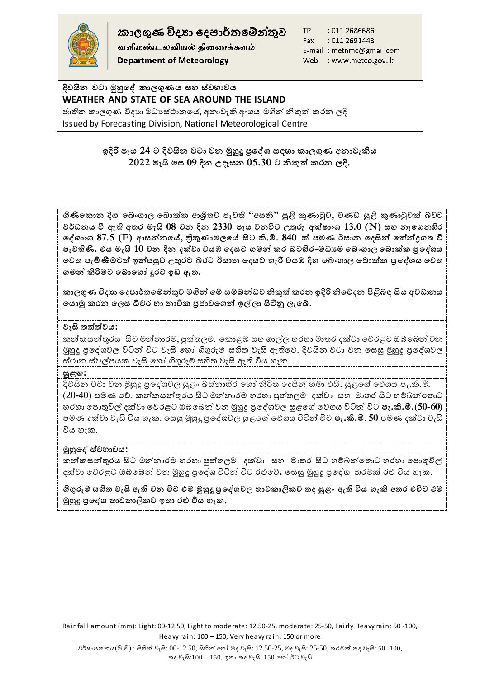

කාලගුණ විදහා දෙපාර්තමේන්තුව

வளிமண்டலவியல் திணைக்களம் **Department of Meteorology** 

TP : 011 2686686 Fax : 011 2691443 E-mail: metnmc@gmail.com Web : www.meteo.gov.lk

**දිවයින වටා මුහුෙේ කාලගුණය සහ ස්වභාවය WEATHER AND STATE OF SEA AROUND THE ISLAND** ජාතික කාලගුණ විදාහ මධාස්ථානයේ, අනාවැකි අංශය මගින් නිකුත් කරන ලදි

Issued by Forecasting Division, National Meteorological Centre

**ලදිරි පැය 24 ට දිවයින වටා වන මුහුදු ප්රෙේශ් සඳහා කාලගුණ අනාවැකිය 2022 මැයි මස 09 දින උදෑසන 05.30 ට නිකුත් කරන ලදි.**

**ගිිකෙකාන දිග ෙ ංගාල ෙ ාක්ක ආශ්රිතව පැවති "අසනි" සුළි කුණාටුව, චණ්ඩ සුළි කුණාටුවක් වට වර්ධනය වී ඇති අතර මැයි 08 වන දින 2330 පැය වනවිට උතුරු අක්්ාංශ් 13.0 (N) සහ නැෙගනහිර ෙේශ්ාංශ් 87.5 (E) ආසන්නෙේ, ත්රිකුණාමලෙේ සිට කි.මී. 840 ක් පමණ ඊසාන ෙදසින් ෙක්න්රගත වී**  පැවතිණි. එය මැයි 10 වන දින දක්වා වයඹ දෙසට ගමන් කර බටහිර-මධාම බෙංගාල බොක්ක පු*දේ*ශය **ෙවත පැමිණීමටත් ලන්පසුව උතුරට රව ඊසාන ෙදසට හැරී වයඹ දිග ෙ ංගාල ෙ ාක්ක ප්රෙේශ්ය ෙවත ගමන් කිරීමට ෙ ාෙහෝ දුරට ලඩ ඇත.** 

**කාලගුණ විදයා ෙදපාර්තෙම්න්තුව මගින් ෙම් සම් න්ධව නිකුත් කරන ලදිරි නිෙනදන ියළි ඳ සිය අවධානය ෙයාමු කරන ෙලස ධීවර හා නාවික ප්රනාවෙගන් ල්ලා සිිනු ලැෙ .**

## **වැසි තත්ත්වය:**

කන්කසන්තුරය සිට මන්නාරම, පුත්තලම, කොළඹ සහ ගාල්ල හරහා මාතර දක්වා වෙරළට ඔබ්බෙන් වන මුහුදු පුදේශවල විටින් විට වැසි හෝ ගිගුරුම් සහිත වැසි ඇතිවේ. දිවයින වටා වන සෙසු මුහුදු පුදේශවල ස්ථාන ස්වල්පයක වැසි හෝ ගිගුරුම් සහිත වැසි ඇති විය හැක.

### **සුළඟ:**

දිවයින වටා වන මුහුදු පුදේශවල සුළං බස්නාහිර හෝ නිරිත දෙසින් හමා එයි. සුළගේ වේගය පැ.කි.මී. (20<del>-4</del>0) පමණ වේ. කන්කසන්තුරය සිට මන්නාරම හරහා පුත්තලම දක්වා සහ මාතර සිට හම්බන්තොට ර ා හපාතුවිල් දක්වා හවරළට ඔබ්හ න් වන මුහුදු ප්රහේශවල සුළහේ හේගය විටින් විට **පැ.කි.මී.**(**50-60)** පමණ දක්වා වැඩි විය හැක. සෙසු මුහුදු පුදේශවල සුළගේ වේගය විටින් විට **පැ.කි.මී**. **50** පමණ දක්වා වැඩි විය හැක.

# **මුහුෙේ ස්වභාවය:**

කන්කසන්තුරය සිට මන්නාරම හරහා පුත්තලම දක්වා සහ මාතර සිට හම්බන්තොට හරහා පොතුවිල් දක්වා වෙරළට ඔබ්බෙන් වන මුහුදු පුදේශ විටින් විට රළුවේ. හෙසු මුහුදු පුදේශ *ත*රමක් රළු විය හැක.

**ගිගුරුම් සහිත වැසි ඇති වන විට එම මුහුදු ප්රෙේශ්වල තාවකාලිකව තද සුළං ඇති විය හැකි අතර එවිට එම මුහුදු ප්රෙේශ් තාවකාලිකව ලතා රු විය හැක.**

Rainfall amount (mm): Light: 00-12.50, Light to moderate: 12.50-25, moderate: 25-50, Fairly Heavy rain: 50 -100, Heavy rain: 100 – 150, Very heavy rain: 150 or more.